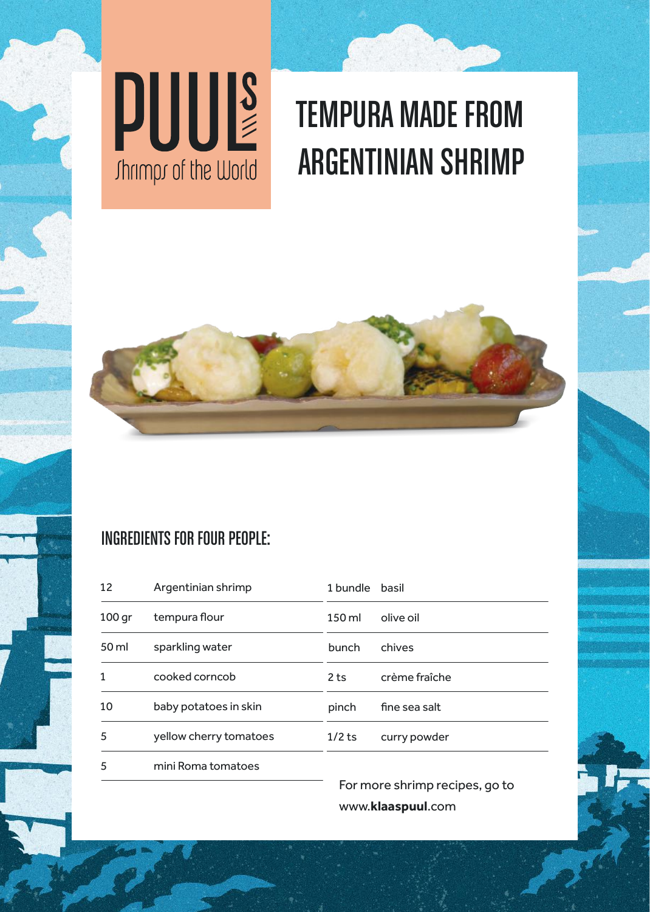



## TEMPURA MADE FROM ARGENTINIAN SHRIMP



### INGREDIENTS FOR FOUR PEOPLE:

| 12                | Argentinian shrimp     | 1 bundle basil  |               |
|-------------------|------------------------|-----------------|---------------|
| 100 <sub>qr</sub> | tempura flour          | 150 ml          | olive oil     |
| 50 ml             | sparkling water        | bunch           | chives        |
| 1                 | cooked corncob         | 2 <sub>ts</sub> | crème fraîche |
| 10                | baby potatoes in skin  | pinch           | fine sea salt |
| 5                 | yellow cherry tomatoes | $1/2$ ts        | curry powder  |
| 5                 | mini Roma tomatoes     |                 |               |

For more shrimp recipes, go to www.**klaaspuul**.com